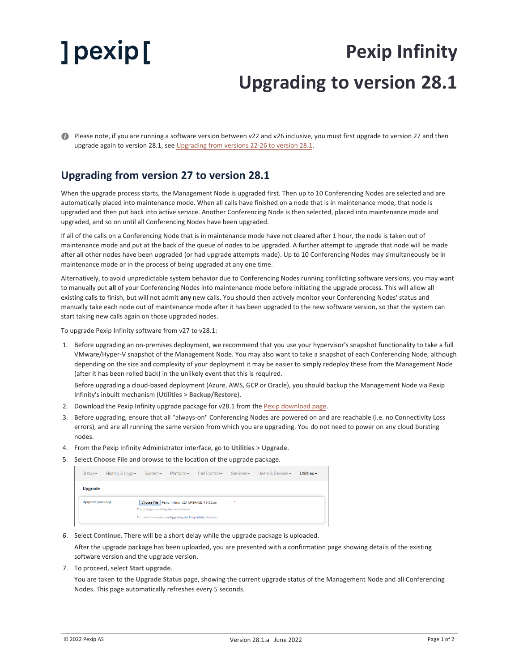## ] pexip [

## **Pexip Infinity Upgrading to version 28.1**

Please note, if you are running a software version between v22 and v26 inclusive, you must first upgrade to version 27 and then upgrade again to version 28.1, see [Upgrading](#page-1-0) from versions 22-26 to version 28.1.

## <span id="page-0-0"></span>**Upgrading from version 27 to version 28.1**

When the upgrade process starts, the Management Node is upgraded first. Then up to 10 Conferencing Nodes are selected and are automatically placed into maintenance mode. When all calls have finished on a node that is in maintenance mode, that node is upgraded and then put back into active service. Another Conferencing Node is then selected, placed into maintenance mode and upgraded, and so on until all Conferencing Nodes have been upgraded.

If all of the calls on a Conferencing Node that is in maintenance mode have not cleared after 1 hour, the node is taken out of maintenance mode and put at the back of the queue of nodes to be upgraded. A further attempt to upgrade that node will be made after all other nodes have been upgraded (or had upgrade attempts made). Up to 10 Conferencing Nodes may simultaneously be in maintenance mode or in the process of being upgraded at any one time.

Alternatively, to avoid unpredictable system behavior due to Conferencing Nodes running conflicting software versions, you may want to manually put **all** of your Conferencing Nodes into maintenance mode before initiating the upgrade process. This will allow all existing calls to finish, but will not admit **any** new calls. You should then actively monitor your Conferencing Nodes' status and manually take each node out of maintenance mode after it has been upgraded to the new software version, so that the system can start taking new calls again on those upgraded nodes.

To upgrade Pexip Infinity software from v27 to v28.1:

1. Before upgrading an on-premises deployment, we recommend that you use your hypervisor's snapshot functionality to take a full VMware/Hyper-V snapshot of the Management Node. You may also want to take a snapshot of each Conferencing Node, although depending on the size and complexity of your deployment it may be easier to simply redeploy these from the Management Node (after it has been rolled back) in the unlikely event that this is required.

Before upgrading a cloud-based deployment (Azure, AWS, GCP or Oracle), you should backup the Management Node via Pexip Infinity's inbuilt mechanism (**Utilities > Backup/Restore**).

- 2. Download the Pexip Infinity upgrade package for v28.1 from the Pexip [download](https://www.pexip.com/platform-downloads) page.
- 3. Before upgrading, ensure that all "always-on" Conferencing Nodes are powered on and are reachable (i.e. no Connectivity Loss errors), and are all running the same version from which you are upgrading. You do not need to power on any cloud bursting nodes.
- 4. From the Pexip Infinity Administrator interface, go to **Utilities > Upgrade**.
- 5. Select **Choose File** and browse to the location of the upgrade package.

| $Status -$                                                                                                                                                                                     | History & Logs - | $S$ vstem $\sim$ | Platform | Call Control - | $S$ ervices $\star$ | Users & Devices $\star$ | Utilities $\sim$ |
|------------------------------------------------------------------------------------------------------------------------------------------------------------------------------------------------|------------------|------------------|----------|----------------|---------------------|-------------------------|------------------|
| <b>Upgrade</b>                                                                                                                                                                                 |                  |                  |          |                |                     |                         |                  |
| Upgrade package<br>Choose File Pexip_Infinity_v20_UPGRADE_45400.tar<br>$\star$<br>The package containing the new software.<br>For more information, see Upgrading the Pexip Infinity platform. |                  |                  |          |                |                     |                         |                  |

6. Select **Continue**. There will be a short delay while the upgrade package is uploaded.

After the upgrade package has been uploaded, you are presented with a confirmation page showing details of the existing software version and the upgrade version.

7. To proceed, select **Start upgrade**.

You are taken to the **Upgrade Status** page, showing the current upgrade status of the Management Node and all Conferencing Nodes. This page automatically refreshes every 5 seconds.